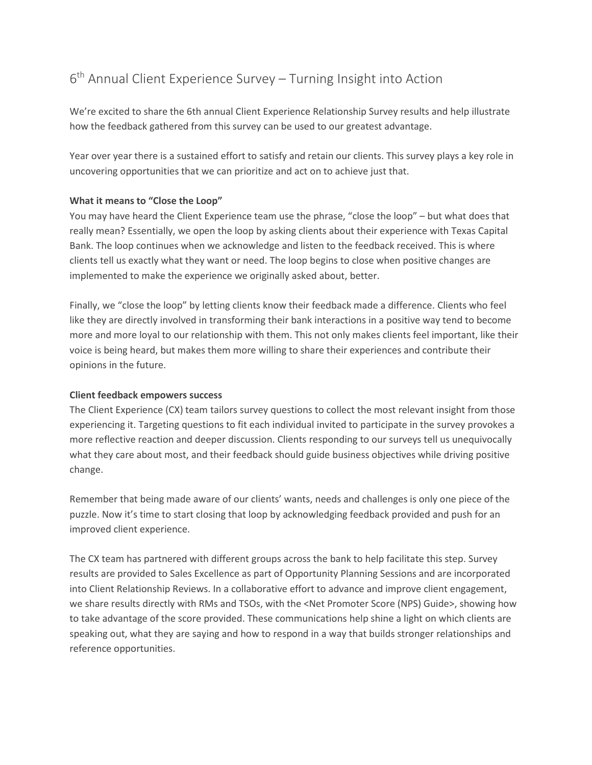# 6<sup>th</sup> Annual Client Experience Survey – Turning Insight into Action

We're excited to share the 6th annual Client Experience Relationship Survey results and help illustrate how the feedback gathered from this survey can be used to our greatest advantage.

Year over year there is a sustained effort to satisfy and retain our clients. This survey plays a key role in uncovering opportunities that we can prioritize and act on to achieve just that.

## **What it means to "Close the Loop"**

You may have heard the Client Experience team use the phrase, "close the loop" – but what does that really mean? Essentially, we open the loop by asking clients about their experience with Texas Capital Bank. The loop continues when we acknowledge and listen to the feedback received. This is where clients tell us exactly what they want or need. The loop begins to close when positive changes are implemented to make the experience we originally asked about, better.

Finally, we "close the loop" by letting clients know their feedback made a difference. Clients who feel like they are directly involved in transforming their bank interactions in a positive way tend to become more and more loyal to our relationship with them. This not only makes clients feel important, like their voice is being heard, but makes them more willing to share their experiences and contribute their opinions in the future.

#### **Client feedback empowers success**

The Client Experience (CX) team tailors survey questions to collect the most relevant insight from those experiencing it. Targeting questions to fit each individual invited to participate in the survey provokes a more reflective reaction and deeper discussion. Clients responding to our surveys tell us unequivocally what they care about most, and their feedback should guide business objectives while driving positive change.

Remember that being made aware of our clients' wants, needs and challenges is only one piece of the puzzle. Now it's time to start closing that loop by acknowledging feedback provided and push for an improved client experience.

The CX team has partnered with different groups across the bank to help facilitate this step. Survey results are provided to Sales Excellence as part of Opportunity Planning Sessions and are incorporated into Client Relationship Reviews. In a collaborative effort to advance and improve client engagement, we share results directly with RMs and TSOs, with the <Net Promoter Score (NPS) Guide>, showing how to take advantage of the score provided. These communications help shine a light on which clients are speaking out, what they are saying and how to respond in a way that builds stronger relationships and reference opportunities.